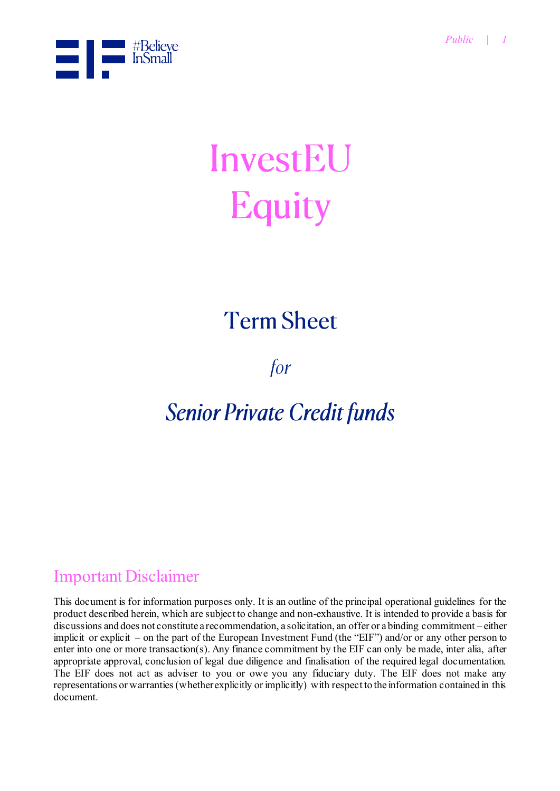

# InvestEU **Equity**

# **Term Sheet**

for

## **Senior Private Credit funds**

### Important Disclaimer

This document is for information purposes only. It is an outline of the principal operational guidelines for the product described herein, which are subject to change and non-exhaustive. It is intended to provide a basis for discussions and does not constitute a recommendation, a solicitation, an offer or a binding commitment – either implicit or explicit – on the part of the European Investment Fund (the "EIF") and/or or any other person to enter into one or more transaction(s). Any finance commitment by the EIF can only be made, inter alia, after appropriate approval, conclusion of legal due diligence and finalisation of the required legal documentation. The EIF does not act as adviser to you or owe you any fiduciary duty. The EIF does not make any representations or warranties (whether explicitly or implicitly) with respect to the information contained in this document.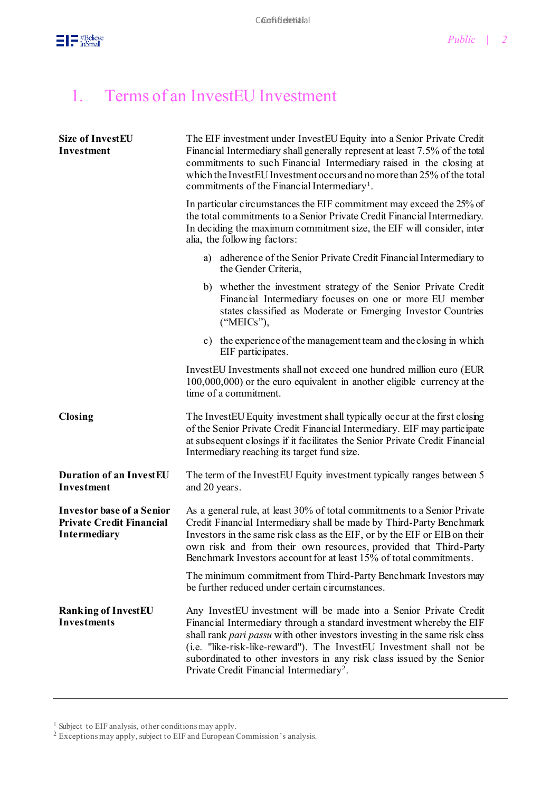

## 1. Terms of an InvestEU Investment

| <b>Size of InvestEU</b><br><b>Investment</b>                                               | The EIF investment under InvestEU Equity into a Senior Private Credit<br>Financial Intermediary shall generally represent at least 7.5% of the total<br>commitments to such Financial Intermediary raised in the closing at<br>which the InvestEU Investment occurs and no more than 25% of the total<br>commitments of the Financial Intermediary <sup>1</sup> .                                                                  |
|--------------------------------------------------------------------------------------------|------------------------------------------------------------------------------------------------------------------------------------------------------------------------------------------------------------------------------------------------------------------------------------------------------------------------------------------------------------------------------------------------------------------------------------|
|                                                                                            | In particular circumstances the EIF commitment may exceed the 25% of<br>the total commitments to a Senior Private Credit Financial Intermediary.<br>In deciding the maximum commitment size, the EIF will consider, inter<br>alia, the following factors:                                                                                                                                                                          |
|                                                                                            | a) adherence of the Senior Private Credit Financial Intermediary to<br>the Gender Criteria,                                                                                                                                                                                                                                                                                                                                        |
|                                                                                            | b) whether the investment strategy of the Senior Private Credit<br>Financial Intermediary focuses on one or more EU member<br>states classified as Moderate or Emerging Investor Countries<br>("MEICs"),                                                                                                                                                                                                                           |
|                                                                                            | c) the experience of the management team and the closing in which<br>EIF participates.                                                                                                                                                                                                                                                                                                                                             |
|                                                                                            | InvestEU Investments shall not exceed one hundred million euro (EUR<br>$100,000,000$ or the euro equivalent in another eligible currency at the<br>time of a commitment.                                                                                                                                                                                                                                                           |
| <b>Closing</b>                                                                             | The InvestEU Equity investment shall typically occur at the first closing<br>of the Senior Private Credit Financial Intermediary. EIF may participate<br>at subsequent closings if it facilitates the Senior Private Credit Financial<br>Intermediary reaching its target fund size.                                                                                                                                               |
| <b>Duration of an InvestEU</b><br><b>Investment</b>                                        | The term of the InvestEU Equity investment typically ranges between 5<br>and 20 years.                                                                                                                                                                                                                                                                                                                                             |
| <b>Investor base of a Senior</b><br><b>Private Credit Financial</b><br><b>Intermediary</b> | As a general rule, at least 30% of total commitments to a Senior Private<br>Credit Financial Intermediary shall be made by Third-Party Benchmark<br>Investors in the same risk class as the EIF, or by the EIF or EIB on their<br>own risk and from their own resources, provided that Third-Party<br>Benchmark Investors account for at least 15% of total commitments.                                                           |
|                                                                                            | The minimum commitment from Third-Party Benchmark Investors may<br>be further reduced under certain circumstances.                                                                                                                                                                                                                                                                                                                 |
| <b>Ranking of InvestEU</b><br><b>Investments</b>                                           | Any InvestEU investment will be made into a Senior Private Credit<br>Financial Intermediary through a standard investment whereby the EIF<br>shall rank pari passu with other investors investing in the same risk class<br>(i.e. "like-risk-like-reward"). The InvestEU Investment shall not be<br>subordinated to other investors in any risk class issued by the Senior<br>Private Credit Financial Intermediary <sup>2</sup> . |

<sup>1</sup> Subject to EIF analysis, other conditions may apply.

 $2$  Exceptions may apply, subject to EIF and European Commission's analysis.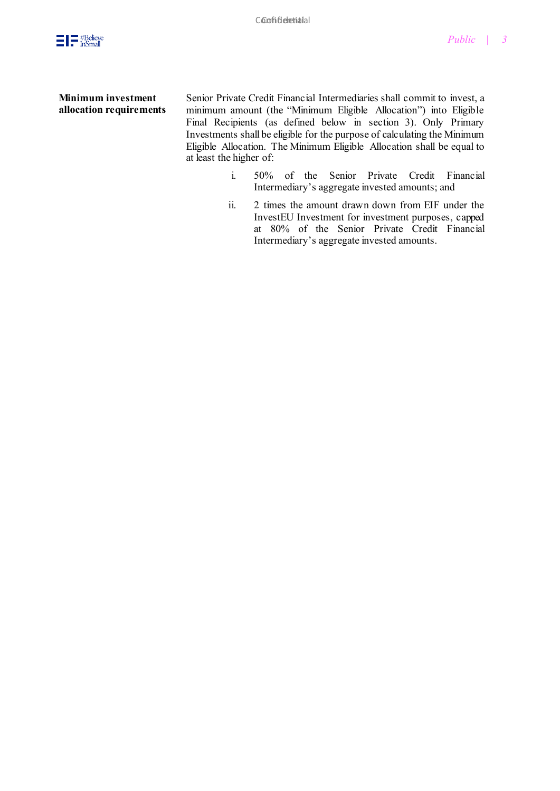

#### **Minimum investment allocation requirements**

Senior Private Credit Financial Intermediaries shall commit to invest, a minimum amount (the "Minimum Eligible Allocation") into Eligible Final Recipients (as defined below in section 3). Only Primary Investments shall be eligible for the purpose of calculating the Minimum Eligible Allocation. The Minimum Eligible Allocation shall be equal to at least the higher of:

- i. 50% of the Senior Private Credit Financial Intermediary's aggregate invested amounts; and
- ii. 2 times the amount drawn down from EIF under the InvestEU Investment for investment purposes, capped at 80% of the Senior Private Credit Financial Intermediary's aggregate invested amounts.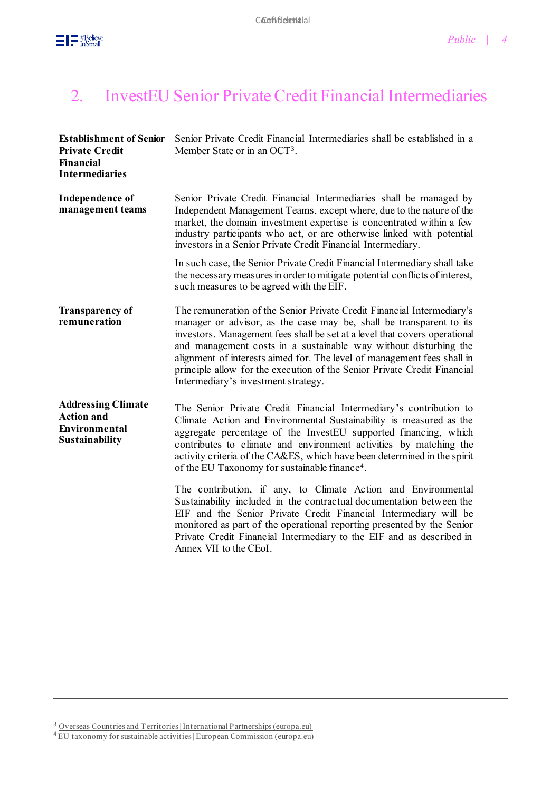

#### 2. InvestEU Senior Private Credit Financial Intermediaries

| <b>Establishment of Senior</b><br><b>Private Credit</b><br><b>Financial</b><br><b>Intermediaries</b> | Senior Private Credit Financial Intermediaries shall be established in a<br>Member State or in an OCT <sup>3</sup> .                                                                                                                                                                                                                                                                                                                                                                          |
|------------------------------------------------------------------------------------------------------|-----------------------------------------------------------------------------------------------------------------------------------------------------------------------------------------------------------------------------------------------------------------------------------------------------------------------------------------------------------------------------------------------------------------------------------------------------------------------------------------------|
| <b>Independence of</b><br>management teams                                                           | Senior Private Credit Financial Intermediaries shall be managed by<br>Independent Management Teams, except where, due to the nature of the<br>market, the domain investment expertise is concentrated within a few<br>industry participants who act, or are otherwise linked with potential<br>investors in a Senior Private Credit Financial Intermediary.                                                                                                                                   |
|                                                                                                      | In such case, the Senior Private Credit Financial Intermediary shall take<br>the necessary measures in order to mitigate potential conflicts of interest,<br>such measures to be agreed with the EIF.                                                                                                                                                                                                                                                                                         |
| <b>Transparency of</b><br>remuneration                                                               | The remuneration of the Senior Private Credit Financial Intermediary's<br>manager or advisor, as the case may be, shall be transparent to its<br>investors. Management fees shall be set at a level that covers operational<br>and management costs in a sustainable way without disturbing the<br>alignment of interests aimed for. The level of management fees shall in<br>principle allow for the execution of the Senior Private Credit Financial<br>Intermediary's investment strategy. |
| <b>Addressing Climate</b><br><b>Action and</b><br>Environmental<br><b>Sustainability</b>             | The Senior Private Credit Financial Intermediary's contribution to<br>Climate Action and Environmental Sustainability is measured as the<br>aggregate percentage of the InvestEU supported financing, which<br>contributes to climate and environment activities by matching the<br>activity criteria of the CA&ES, which have been determined in the spirit<br>of the EU Taxonomy for sustainable finance <sup>4</sup> .                                                                     |
|                                                                                                      | The contribution, if any, to Climate Action and Environmental<br>Sustainability included in the contractual documentation between the<br>EIF and the Senior Private Credit Financial Intermediary will be<br>monitored as part of the operational reporting presented by the Senior<br>Private Credit Financial Intermediary to the EIF and as described in<br>Annex VII to the CEoI.                                                                                                         |

<sup>3</sup> [Overseas Countries and Territories | International Partnerships \(europa.eu\)](https://ec.europa.eu/international-partnerships/where-we-work/overseas-countries-and-territories_en)

 $^{4}$  [EU taxonomy for sustainable activities | European Commission \(europa.eu\)](https://ec.europa.eu/info/business-economy-euro/banking-and-finance/sustainable-finance/eu-taxonomy-sustainable-activities_en)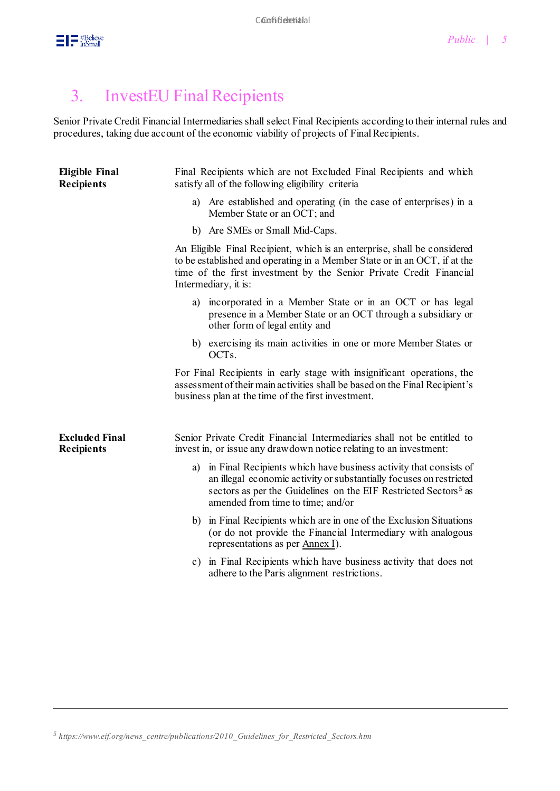

#### 3. InvestEU Final Recipients

Senior Private Credit Financial Intermediaries shall select Final Recipients according to their internal rules and procedures, taking due account of the economic viability of projects of Final Recipients.

| <b>Eligible Final</b><br><b>Recipients</b> | Final Recipients which are not Excluded Final Recipients and which<br>satisfy all of the following eligibility criteria                                                                                                                                         |
|--------------------------------------------|-----------------------------------------------------------------------------------------------------------------------------------------------------------------------------------------------------------------------------------------------------------------|
|                                            | a) Are established and operating (in the case of enterprises) in a<br>Member State or an OCT; and                                                                                                                                                               |
|                                            | b) Are SMEs or Small Mid-Caps.                                                                                                                                                                                                                                  |
|                                            | An Eligible Final Recipient, which is an enterprise, shall be considered<br>to be established and operating in a Member State or in an OCT, if at the<br>time of the first investment by the Senior Private Credit Financial<br>Intermediary, it is:            |
|                                            | incorporated in a Member State or in an OCT or has legal<br>a)<br>presence in a Member State or an OCT through a subsidiary or<br>other form of legal entity and                                                                                                |
|                                            | b) exercising its main activities in one or more Member States or<br>OCT <sub>s</sub> .                                                                                                                                                                         |
|                                            | For Final Recipients in early stage with insignificant operations, the<br>assessment of their main activities shall be based on the Final Recipient's<br>business plan at the time of the first investment.                                                     |
| <b>Excluded Final</b><br><b>Recipients</b> | Senior Private Credit Financial Intermediaries shall not be entitled to<br>invest in, or issue any drawdown notice relating to an investment:                                                                                                                   |
|                                            | a) in Final Recipients which have business activity that consists of<br>an illegal economic activity or substantially focuses on restricted<br>sectors as per the Guidelines on the EIF Restricted Sectors <sup>5</sup> as<br>amended from time to time; and/or |
|                                            | b) in Final Recipients which are in one of the Exclusion Situations<br>(or do not provide the Financial Intermediary with analogous<br>representations as per <u>Annex I</u> ).                                                                                 |
|                                            | c) in Final Recipients which have business activity that does not<br>adhere to the Paris alignment restrictions.                                                                                                                                                |

*<sup>5</sup> https://www.eif.org/news\_centre/publications/2010\_Guidelines\_for\_Restricted\_Sectors.htm*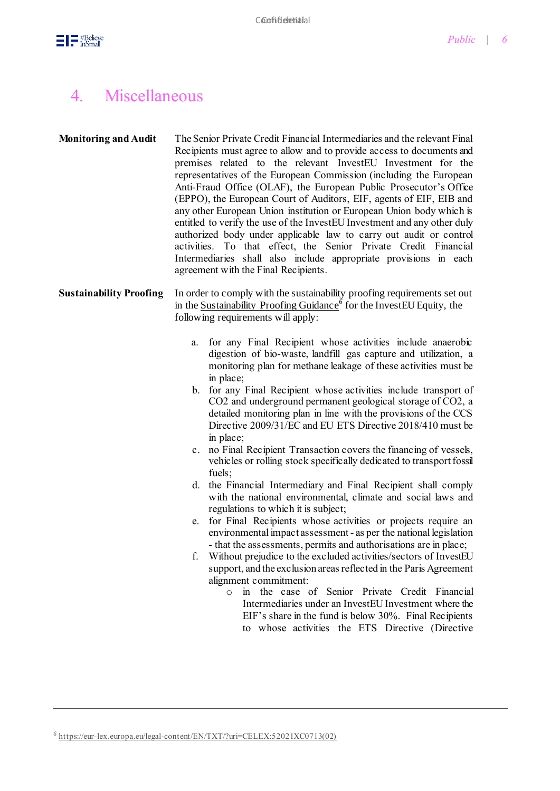

#### 4. Miscellaneous

| <b>Monitoring and Audit</b> | The Senior Private Credit Financial Intermediaries and the relevant Final |
|-----------------------------|---------------------------------------------------------------------------|
|                             | Recipients must agree to allow and to provide access to documents and     |
|                             | premises related to the relevant InvestEU Investment for the              |
|                             | representatives of the European Commission (including the European        |
|                             | Anti-Fraud Office (OLAF), the European Public Prosecutor's Office         |
|                             | (EPPO), the European Court of Auditors, EIF, agents of EIF, EIB and       |
|                             | any other European Union institution or European Union body which is      |
|                             | entitled to verify the use of the InvestEU Investment and any other duly  |
|                             | authorized body under applicable law to carry out audit or control        |
|                             | activities. To that effect, the Senior Private Credit Financial           |
|                             | Intermediaries shall also include appropriate provisions in each          |
|                             | agreement with the Final Recipients.                                      |

#### **Sustainability Proofing** In order to comply with the sustainability proofing requirements set out in the [Sustainability Proofing Guidance](https://eur-lex.europa.eu/legal-content/EN/TXT/?uri=CELEX:52021XC0713(02))<sup>6</sup> for the InvestEU Equity, the following requirements will apply:

- a. for any Final Recipient whose activities include anaerobic digestion of bio-waste, landfill gas capture and utilization, a monitoring plan for methane leakage of these activities must be in place;
- b. for any Final Recipient whose activities include transport of CO2 and underground permanent geological storage of CO2, a detailed monitoring plan in line with the provisions of the CCS Directive 2009/31/EC and EU ETS Directive 2018/410 must be in place;
- c. no Final Recipient Transaction covers the financing of vessels, vehicles or rolling stock specifically dedicated to transport fossil fuels;
- d. the Financial Intermediary and Final Recipient shall comply with the national environmental, climate and social laws and regulations to which it is subject;
- e. for Final Recipients whose activities or projects require an environmental impact assessment - as per the national legislation - that the assessments, permits and authorisations are in place;
- f. Without prejudice to the excluded activities/sectors of InvestEU support, and the exclusion areas reflected in the Paris Agreement alignment commitment:
	- o in the case of Senior Private Credit Financial Intermediaries under an InvestEU Investment where the EIF's share in the fund is below 30%. Final Recipients to whose activities the ETS Directive (Directive

*<sup>6</sup>* [https://eur-lex.europa.eu/legal-content/EN/TXT/?uri=CELEX:52021XC0713\(02\)](https://eur-lex.europa.eu/legal-content/EN/TXT/?uri=CELEX:52021XC0713(02))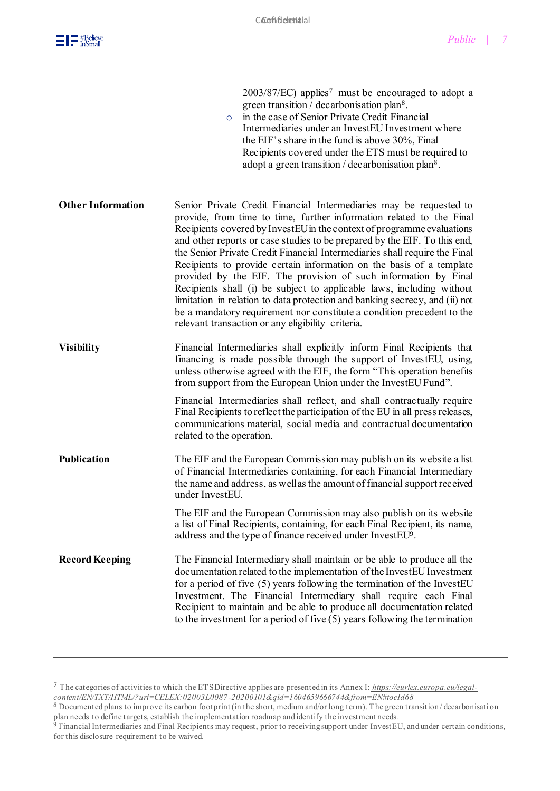

2003/87/EC) applies<sup>7</sup> must be encouraged to adopt a green transition / decarbonisation plan<sup>8</sup> . o in the case of Senior Private Credit Financial Intermediaries under an InvestEU Investment where the EIF's share in the fund is above 30%, Final Recipients covered under the ETS must be required to adopt a green transition / decarbonisation plan<sup>8</sup>. **Other Information** Senior Private Credit Financial Intermediaries may be requested to provide, from time to time, further information related to the Final Recipients covered by InvestEU in the context of programme evaluations and other reports or case studies to be prepared by the EIF. To this end, the Senior Private Credit Financial Intermediaries shall require the Final Recipients to provide certain information on the basis of a template provided by the EIF. The provision of such information by Final Recipients shall (i) be subject to applicable laws, including without limitation in relation to data protection and banking secrecy, and (ii) not be a mandatory requirement nor constitute a condition precedent to the relevant transaction or any eligibility criteria. **Visibility** Financial Intermediaries shall explicitly inform Final Recipients that financing is made possible through the support of InvestEU, using, unless otherwise agreed with the EIF, the form "This operation benefits from support from the European Union under the InvestEU Fund". Financial Intermediaries shall reflect, and shall contractually require Final Recipients to reflect the participation of the EU in all press releases, communications material, social media and contractual documentation related to the operation. **Publication** The EIF and the European Commission may publish on its website a list of Financial Intermediaries containing, for each Financial Intermediary the name and address, as well as the amount of financial support received under InvestEU. The EIF and the European Commission may also publish on its website a list of Final Recipients, containing, for each Final Recipient, its name, address and the type of finance received under InvestEU9. **Record Keeping** The Financial Intermediary shall maintain or be able to produce all the documentation related to the implementation of the InvestEU Investment for a period of five (5) years following the termination of the InvestEU Investment. The Financial Intermediary shall require each Final Recipient to maintain and be able to produce all documentation related to the investment for a period of five (5) years following the termination

<sup>7</sup> The categories of activities to which the ETS Directive applies are presented in its Annex I: *https://eurlex.europa.eu/legalcontent/EN/TXT/HTML/?uri=CELEX:02003L0087-20200101&qid=1604659666744&from=EN#tocId68*

*<sup>8</sup>* Documented plans to improve its carbon footprint (in the short, medium and/or long term). The green transition / decarbonisation plan needs to define targets, establish the implementation roadmap and identify the investment needs.

 $9$  Financial Intermediaries and Final Recipients may request, prior to receiving support under InvestEU, and under certain conditions, for this disclosure requirement to be waived.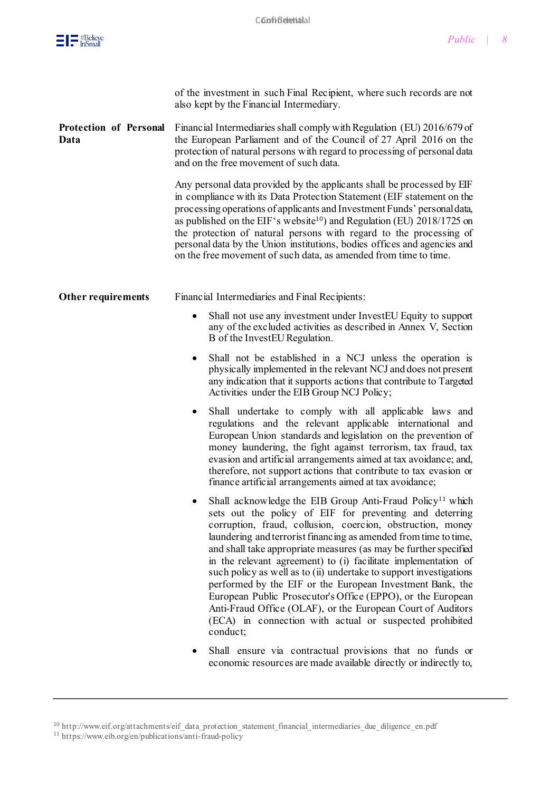

|                                | of the investment in such Final Recipient, where such records are not<br>also kept by the Financial Intermediary.                                                                                                                                                                                                                                                                                                                                                                                                                                                                                                                                                                                                                                |
|--------------------------------|--------------------------------------------------------------------------------------------------------------------------------------------------------------------------------------------------------------------------------------------------------------------------------------------------------------------------------------------------------------------------------------------------------------------------------------------------------------------------------------------------------------------------------------------------------------------------------------------------------------------------------------------------------------------------------------------------------------------------------------------------|
| Protection of Personal<br>Data | Financial Intermediaries shall comply with Regulation (EU) 2016/679 of<br>the European Parliament and of the Council of 27 April 2016 on the<br>protection of natural persons with regard to processing of personal data<br>and on the free movement of such data.                                                                                                                                                                                                                                                                                                                                                                                                                                                                               |
|                                | Any personal data provided by the applicants shall be processed by EIF<br>in compliance with its Data Protection Statement (EIF statement on the<br>processing operations of applicants and Investment Funds' personal data,<br>as published on the EIF's website <sup>10</sup> ) and Regulation (EU) $2018/1725$ on<br>the protection of natural persons with regard to the processing of<br>personal data by the Union institutions, bodies offices and agencies and<br>on the free movement of such data, as amended from time to time.                                                                                                                                                                                                       |
| <b>Other requirements</b>      | Financial Intermediaries and Final Recipients:                                                                                                                                                                                                                                                                                                                                                                                                                                                                                                                                                                                                                                                                                                   |
|                                | Shall not use any investment under InvestEU Equity to support<br>٠<br>any of the excluded activities as described in Annex V, Section<br>B of the InvestEU Regulation.                                                                                                                                                                                                                                                                                                                                                                                                                                                                                                                                                                           |
|                                | Shall not be established in a NCJ unless the operation is<br>٠<br>physically implemented in the relevant NCJ and does not present<br>any indication that it supports actions that contribute to Targeted<br>Activities under the EIB Group NCJ Policy;                                                                                                                                                                                                                                                                                                                                                                                                                                                                                           |
|                                | Shall undertake to comply with all applicable laws and<br>٠<br>regulations and the relevant applicable international and<br>European Union standards and legislation on the prevention of<br>money laundering, the fight against terrorism, tax fraud, tax<br>evasion and artificial arrangements aimed at tax avoidance; and,<br>therefore, not support actions that contribute to tax evasion or<br>finance artificial arrangements aimed at tax avoidance;                                                                                                                                                                                                                                                                                    |
|                                | Shall acknowledge the EIB Group Anti-Fraud Policy <sup>11</sup> which<br>sets out the policy of EIF for preventing and deterring<br>corruption, fraud, collusion, coercion, obstruction, money<br>laundering and terrorist financing as amended from time to time,<br>and shall take appropriate measures (as may be further specified<br>in the relevant agreement) to (i) facilitate implementation of<br>such policy as well as to (ii) undertake to support investigations<br>performed by the EIF or the European Investment Bank, the<br>European Public Prosecutor's Office (EPPO), or the European<br>Anti-Fraud Office (OLAF), or the European Court of Auditors<br>(ECA) in connection with actual or suspected prohibited<br>conduct; |
|                                | Shall ensure via contractual provisions that no funds or                                                                                                                                                                                                                                                                                                                                                                                                                                                                                                                                                                                                                                                                                         |

economic resources are made available directly or indirectly to,

<sup>&</sup>lt;sup>10</sup> [http://www.eif.org/attachments/eif\\_data\\_protection\\_statement\\_financial\\_intermediaries\\_due\\_diligence\\_en.pdf](http://www.eif.org/attachments/eif_data_protection_statement_financial_intermediaries_due_diligence_en.pdf) <sup>11</sup> <https://www.eib.org/en/publications/anti-fraud-policy>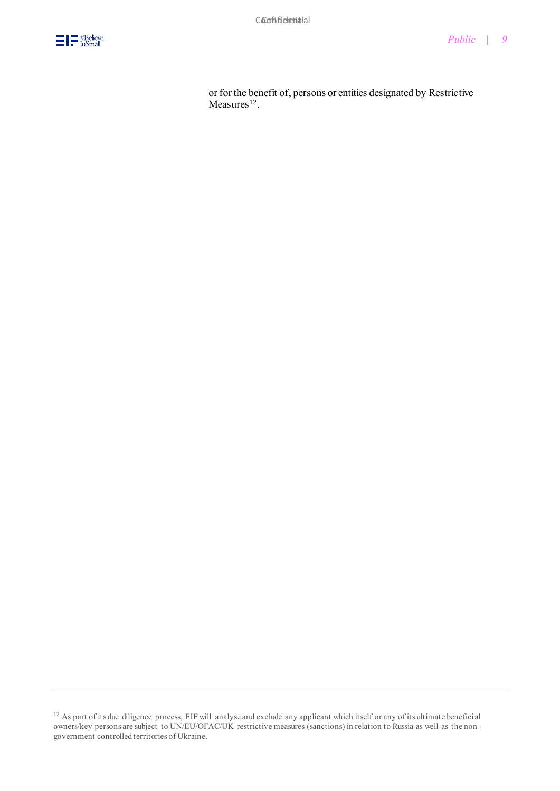

or for the benefit of, persons or entities designated by Restrictive  $Measures<sup>12</sup>$ .

<sup>&</sup>lt;sup>12</sup> As part of its due diligence process, EIF will analyse and exclude any applicant which itself or any of its ultimate beneficial owners/key persons are subject to UN/EU/OFAC/UK restrictive measures (sanctions) in relation to Russia as well as the non government controlled territories of Ukraine.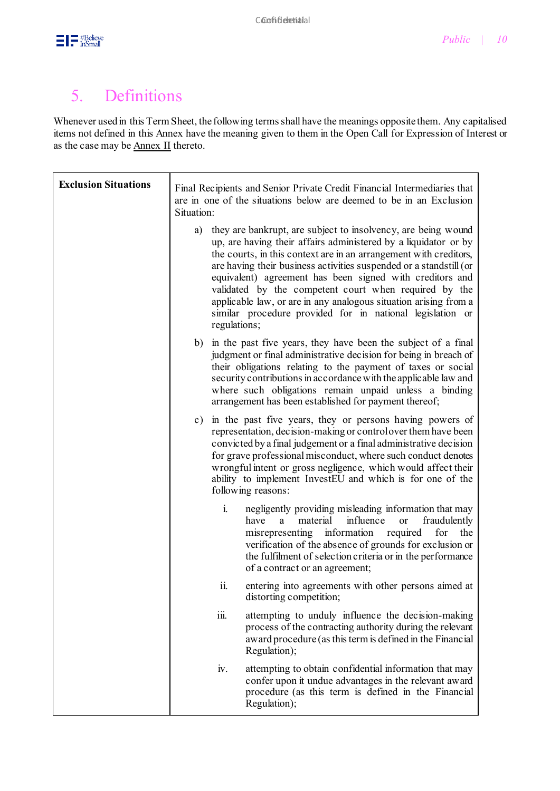

#### 5. Definitions

Whenever used in this Term Sheet, the following terms shall have the meanings opposite them. Any capitalised items not defined in this Annex have the meaning given to them in the Open Call for Expression of Interest or as the case may b[e Annex II](https://www.eif.org/InvestEU/equity_products_calls/annex-ii-growth-innovation-socialimpact-termsheet.pdf) thereto.

| <b>Exclusion Situations</b> | Final Recipients and Senior Private Credit Financial Intermediaries that<br>are in one of the situations below are deemed to be in an Exclusion<br>Situation:                                                                                                                                                                                                                                                                                                                                                                                           |     |
|-----------------------------|---------------------------------------------------------------------------------------------------------------------------------------------------------------------------------------------------------------------------------------------------------------------------------------------------------------------------------------------------------------------------------------------------------------------------------------------------------------------------------------------------------------------------------------------------------|-----|
|                             | they are bankrupt, are subject to insolvency, are being wound<br>a)<br>up, are having their affairs administered by a liquidator or by<br>the courts, in this context are in an arrangement with creditors,<br>are having their business activities suspended or a standstill (or<br>equivalent) agreement has been signed with creditors and<br>validated by the competent court when required by the<br>applicable law, or are in any analogous situation arising from a<br>similar procedure provided for in national legislation or<br>regulations; |     |
|                             | b) in the past five years, they have been the subject of a final<br>judgment or final administrative decision for being in breach of<br>their obligations relating to the payment of taxes or social<br>security contributions in accordance with the applicable law and<br>where such obligations remain unpaid unless a binding<br>arrangement has been established for payment thereof;                                                                                                                                                              |     |
|                             | c) in the past five years, they or persons having powers of<br>representation, decision-making or control over them have been<br>convicted by a final judgement or a final administrative decision<br>for grave professional misconduct, where such conduct denotes<br>wrongful intent or gross negligence, which would affect their<br>ability to implement InvestEU and which is for one of the<br>following reasons:                                                                                                                                 |     |
|                             | $\mathbf{i}$ .<br>negligently providing misleading information that may<br>influence<br>fraudulently<br>have<br>material<br>a<br><sub>or</sub><br>information<br>required<br>misrepresenting<br>for<br>verification of the absence of grounds for exclusion or<br>the fulfilment of selection criteria or in the performance<br>of a contract or an agreement;                                                                                                                                                                                          | the |
|                             | ii.<br>entering into agreements with other persons aimed at<br>distorting competition;                                                                                                                                                                                                                                                                                                                                                                                                                                                                  |     |
|                             | iii.<br>attempting to unduly influence the decision-making<br>process of the contracting authority during the relevant<br>award procedure (as this term is defined in the Financial<br>Regulation);                                                                                                                                                                                                                                                                                                                                                     |     |
|                             | iv.<br>attempting to obtain confidential information that may<br>confer upon it undue advantages in the relevant award<br>procedure (as this term is defined in the Financial<br>Regulation);                                                                                                                                                                                                                                                                                                                                                           |     |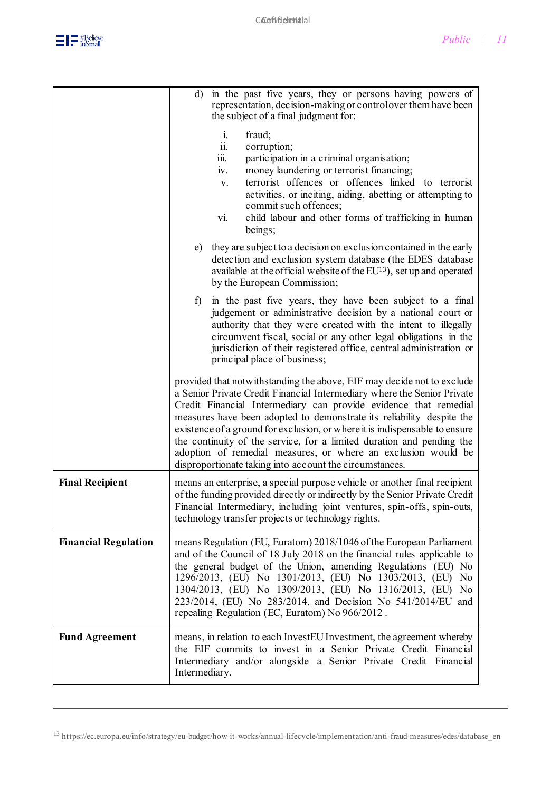|                             | d) in the past five years, they or persons having powers of<br>representation, decision-making or control over them have been<br>the subject of a final judgment for:                                                                                                                                                                                                                                                                                                                                                                                                              |
|-----------------------------|------------------------------------------------------------------------------------------------------------------------------------------------------------------------------------------------------------------------------------------------------------------------------------------------------------------------------------------------------------------------------------------------------------------------------------------------------------------------------------------------------------------------------------------------------------------------------------|
|                             | $\mathbf{i}$ .<br>fraud;<br>ii.<br>corruption;<br>participation in a criminal organisation;<br>111.<br>money laundering or terrorist financing;<br>iv.<br>terrorist offences or offences linked to terrorist<br>V.<br>activities, or inciting, aiding, abetting or attempting to<br>commit such offences;<br>child labour and other forms of trafficking in human<br>vi.<br>beings;                                                                                                                                                                                                |
|                             | they are subject to a decision on exclusion contained in the early<br>e)<br>detection and exclusion system database (the EDES database<br>available at the official website of the $EU^{13}$ , set up and operated<br>by the European Commission;                                                                                                                                                                                                                                                                                                                                  |
|                             | in the past five years, they have been subject to a final<br>$f$ )<br>judgement or administrative decision by a national court or<br>authority that they were created with the intent to illegally<br>circumvent fiscal, social or any other legal obligations in the<br>jurisdiction of their registered office, central administration or<br>principal place of business;                                                                                                                                                                                                        |
|                             | provided that notwithstanding the above, EIF may decide not to exclude<br>a Senior Private Credit Financial Intermediary where the Senior Private<br>Credit Financial Intermediary can provide evidence that remedial<br>measures have been adopted to demonstrate its reliability despite the<br>existence of a ground for exclusion, or where it is indispensable to ensure<br>the continuity of the service, for a limited duration and pending the<br>adoption of remedial measures, or where an exclusion would be<br>disproportionate taking into account the circumstances. |
| <b>Final Recipient</b>      | means an enterprise, a special purpose vehicle or another final recipient<br>of the funding provided directly or indirectly by the Senior Private Credit<br>Financial Intermediary, including joint ventures, spin-offs, spin-outs,<br>technology transfer projects or technology rights.                                                                                                                                                                                                                                                                                          |
| <b>Financial Regulation</b> | means Regulation (EU, Euratom) 2018/1046 of the European Parliament<br>and of the Council of 18 July 2018 on the financial rules applicable to<br>the general budget of the Union, amending Regulations (EU) No<br>1296/2013, (EU) No 1301/2013, (EU) No 1303/2013, (EU)<br>No<br>1304/2013, (EU) No 1309/2013, (EU) No 1316/2013, (EU) No<br>223/2014, (EU) No 283/2014, and Decision No 541/2014/EU and<br>repealing Regulation (EC, Euratom) No 966/2012.                                                                                                                       |
| <b>Fund Agreement</b>       | means, in relation to each InvestEU Investment, the agreement whereby<br>the EIF commits to invest in a Senior Private Credit Financial<br>Intermediary and/or alongside a Senior Private Credit Financial<br>Intermediary.                                                                                                                                                                                                                                                                                                                                                        |

<sup>13</sup> [https://ec.europa.eu/info/strategy/eu-budget/how-it-works/annual-lifecycle/implementation/anti-fraud-measures/edes/database\\_en](https://ec.europa.eu/info/strategy/eu-budget/how-it-works/annual-lifecycle/implementation/anti-fraud-measures/edes/database_en)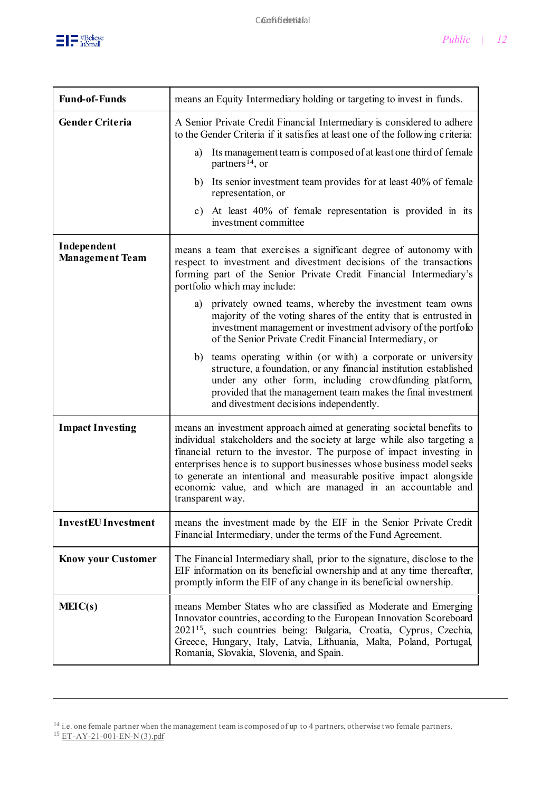

| <b>Fund-of-Funds</b>                  | means an Equity Intermediary holding or targeting to invest in funds.                                                                                                                                                                                                                                                                                                                                                                                       |
|---------------------------------------|-------------------------------------------------------------------------------------------------------------------------------------------------------------------------------------------------------------------------------------------------------------------------------------------------------------------------------------------------------------------------------------------------------------------------------------------------------------|
| <b>Gender Criteria</b>                | A Senior Private Credit Financial Intermediary is considered to adhere<br>to the Gender Criteria if it satisfies at least one of the following criteria:                                                                                                                                                                                                                                                                                                    |
|                                       | Its management team is composed of at least one third of female<br>a)<br>partners <sup>14</sup> , or                                                                                                                                                                                                                                                                                                                                                        |
|                                       | b) Its senior investment team provides for at least 40% of female<br>representation, or                                                                                                                                                                                                                                                                                                                                                                     |
|                                       | c) At least 40% of female representation is provided in its<br>investment committee                                                                                                                                                                                                                                                                                                                                                                         |
| Independent<br><b>Management Team</b> | means a team that exercises a significant degree of autonomy with<br>respect to investment and divestment decisions of the transactions<br>forming part of the Senior Private Credit Financial Intermediary's<br>portfolio which may include:                                                                                                                                                                                                               |
|                                       | a) privately owned teams, whereby the investment team owns<br>majority of the voting shares of the entity that is entrusted in<br>investment management or investment advisory of the portfolio<br>of the Senior Private Credit Financial Intermediary, or                                                                                                                                                                                                  |
|                                       | b) teams operating within (or with) a corporate or university<br>structure, a foundation, or any financial institution established<br>under any other form, including crowdfunding platform,<br>provided that the management team makes the final investment<br>and divestment decisions independently.                                                                                                                                                     |
| <b>Impact Investing</b>               | means an investment approach aimed at generating societal benefits to<br>individual stakeholders and the society at large while also targeting a<br>financial return to the investor. The purpose of impact investing in<br>enterprises hence is to support businesses whose business model seeks<br>to generate an intentional and measurable positive impact alongside<br>economic value, and which are managed in an accountable and<br>transparent way. |
| <b>InvestEU</b> Investment            | means the investment made by the EIF in the Senior Private Credit<br>Financial Intermediary, under the terms of the Fund Agreement.                                                                                                                                                                                                                                                                                                                         |
| <b>Know your Customer</b>             | The Financial Intermediary shall, prior to the signature, disclose to the<br>EIF information on its beneficial ownership and at any time thereafter,<br>promptly inform the EIF of any change in its beneficial ownership.                                                                                                                                                                                                                                  |
| MEIC(s)                               | means Member States who are classified as Moderate and Emerging<br>Innovator countries, according to the European Innovation Scoreboard<br>2021 <sup>15</sup> , such countries being: Bulgaria, Croatia, Cyprus, Czechia,<br>Greece, Hungary, Italy, Latvia, Lithuania, Malta, Poland, Portugal,<br>Romania, Slovakia, Slovenia, and Spain.                                                                                                                 |

<sup>&</sup>lt;sup>14</sup> i.e. one female partner when the management team is composed of up to 4 partners, otherwise two female partners. <sup>15</sup> ET-AY-21-001-EN-N(3).pdf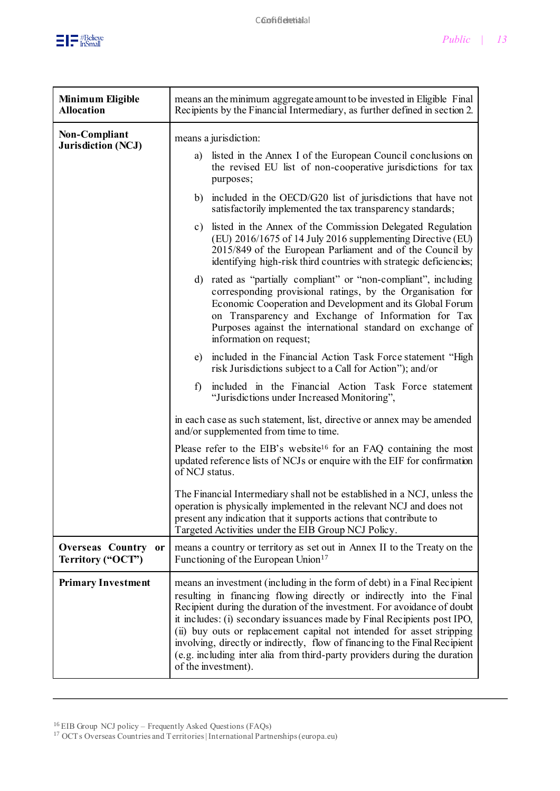

| <b>Minimum Eligible</b><br><b>Allocation</b> | means an the minimum aggregate amount to be invested in Eligible Final<br>Recipients by the Financial Intermediary, as further defined in section 2.                                                                                                                                                                                                                                                                                                                                                                                                               |
|----------------------------------------------|--------------------------------------------------------------------------------------------------------------------------------------------------------------------------------------------------------------------------------------------------------------------------------------------------------------------------------------------------------------------------------------------------------------------------------------------------------------------------------------------------------------------------------------------------------------------|
| Non-Compliant<br><b>Jurisdiction (NCJ)</b>   | means a jurisdiction:                                                                                                                                                                                                                                                                                                                                                                                                                                                                                                                                              |
|                                              | a) listed in the Annex I of the European Council conclusions on<br>the revised EU list of non-cooperative jurisdictions for tax<br>purposes;                                                                                                                                                                                                                                                                                                                                                                                                                       |
|                                              | b) included in the OECD/G20 list of jurisdictions that have not<br>satisfactorily implemented the tax transparency standards;                                                                                                                                                                                                                                                                                                                                                                                                                                      |
|                                              | c) listed in the Annex of the Commission Delegated Regulation<br>(EU) 2016/1675 of 14 July 2016 supplementing Directive (EU)<br>2015/849 of the European Parliament and of the Council by<br>identifying high-risk third countries with strategic deficiencies;                                                                                                                                                                                                                                                                                                    |
|                                              | d) rated as "partially compliant" or "non-compliant", including<br>corresponding provisional ratings, by the Organisation for<br>Economic Cooperation and Development and its Global Forum<br>on Transparency and Exchange of Information for Tax<br>Purposes against the international standard on exchange of<br>information on request;                                                                                                                                                                                                                         |
|                                              | e) included in the Financial Action Task Force statement "High<br>risk Jurisdictions subject to a Call for Action"); and/or                                                                                                                                                                                                                                                                                                                                                                                                                                        |
|                                              | included in the Financial Action Task Force statement<br>f)<br>"Jurisdictions under Increased Monitoring",                                                                                                                                                                                                                                                                                                                                                                                                                                                         |
|                                              | in each case as such statement, list, directive or annex may be amended<br>and/or supplemented from time to time.                                                                                                                                                                                                                                                                                                                                                                                                                                                  |
|                                              | Please refer to the EIB's website <sup>16</sup> for an FAQ containing the most<br>updated reference lists of NCJs or enquire with the EIF for confirmation<br>of NCJ status.                                                                                                                                                                                                                                                                                                                                                                                       |
|                                              | The Financial Intermediary shall not be established in a NCJ, unless the<br>operation is physically implemented in the relevant NCJ and does not<br>present any indication that it supports actions that contribute to<br>Targeted Activities under the EIB Group NCJ Policy.                                                                                                                                                                                                                                                                                      |
| Overseas Country or<br>Territory ("OCT")     | means a country or territory as set out in Annex II to the Treaty on the<br>Functioning of the European Union <sup>17</sup>                                                                                                                                                                                                                                                                                                                                                                                                                                        |
| <b>Primary Investment</b>                    | means an investment (including in the form of debt) in a Final Recipient<br>resulting in financing flowing directly or indirectly into the Final<br>Recipient during the duration of the investment. For avoidance of doubt<br>it includes: (i) secondary issuances made by Final Recipients post IPO,<br>(ii) buy outs or replacement capital not intended for asset stripping<br>involving, directly or indirectly, flow of financing to the Final Recipient<br>(e.g. including inter alia from third-party providers during the duration<br>of the investment). |

<sup>&</sup>lt;sup>17</sup> OCTs Overseas Countries and Territories | International Partnerships (europa.eu)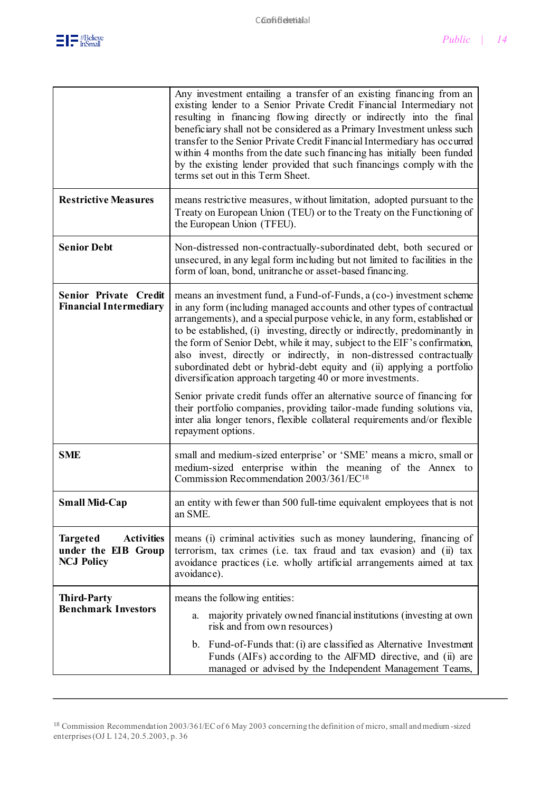

|                                                                                  | Any investment entailing a transfer of an existing financing from an<br>existing lender to a Senior Private Credit Financial Intermediary not<br>resulting in financing flowing directly or indirectly into the final<br>beneficiary shall not be considered as a Primary Investment unless such<br>transfer to the Senior Private Credit Financial Intermediary has occurred<br>within 4 months from the date such financing has initially been funded<br>by the existing lender provided that such financings comply with the<br>terms set out in this Term Sheet.                                                                                                                                                                                                                                                                                             |
|----------------------------------------------------------------------------------|------------------------------------------------------------------------------------------------------------------------------------------------------------------------------------------------------------------------------------------------------------------------------------------------------------------------------------------------------------------------------------------------------------------------------------------------------------------------------------------------------------------------------------------------------------------------------------------------------------------------------------------------------------------------------------------------------------------------------------------------------------------------------------------------------------------------------------------------------------------|
| <b>Restrictive Measures</b>                                                      | means restrictive measures, without limitation, adopted pursuant to the<br>Treaty on European Union (TEU) or to the Treaty on the Functioning of<br>the European Union (TFEU).                                                                                                                                                                                                                                                                                                                                                                                                                                                                                                                                                                                                                                                                                   |
| <b>Senior Debt</b>                                                               | Non-distressed non-contractually-subordinated debt, both secured or<br>unsecured, in any legal form including but not limited to facilities in the<br>form of loan, bond, unitranche or asset-based financing.                                                                                                                                                                                                                                                                                                                                                                                                                                                                                                                                                                                                                                                   |
| Senior Private Credit<br><b>Financial Intermediary</b>                           | means an investment fund, a Fund-of-Funds, a (co-) investment scheme<br>in any form (including managed accounts and other types of contractual<br>arrangements), and a special purpose vehicle, in any form, established or<br>to be established, (i) investing, directly or indirectly, predominantly in<br>the form of Senior Debt, while it may, subject to the EIF's confirmation,<br>also invest, directly or indirectly, in non-distressed contractually<br>subordinated debt or hybrid-debt equity and (ii) applying a portfolio<br>diversification approach targeting 40 or more investments.<br>Senior private credit funds offer an alternative source of financing for<br>their portfolio companies, providing tailor-made funding solutions via,<br>inter alia longer tenors, flexible collateral requirements and/or flexible<br>repayment options. |
| <b>SME</b>                                                                       | small and medium-sized enterprise' or 'SME' means a micro, small or<br>medium-sized enterprise within the meaning of the Annex to<br>Commission Recommendation 2003/361/EC18                                                                                                                                                                                                                                                                                                                                                                                                                                                                                                                                                                                                                                                                                     |
| <b>Small Mid-Cap</b>                                                             | an entity with fewer than 500 full-time equivalent employees that is not<br>an SME.                                                                                                                                                                                                                                                                                                                                                                                                                                                                                                                                                                                                                                                                                                                                                                              |
| <b>Activities</b><br><b>Targeted</b><br>under the EIB Group<br><b>NCJ Policy</b> | means (i) criminal activities such as money laundering, financing of<br>terrorism, tax crimes (i.e. tax fraud and tax evasion) and (ii) tax<br>avoidance practices (i.e. wholly artificial arrangements aimed at tax<br>avoidance).                                                                                                                                                                                                                                                                                                                                                                                                                                                                                                                                                                                                                              |
| <b>Third-Party</b><br><b>Benchmark Investors</b>                                 | means the following entities:<br>majority privately owned financial institutions (investing at own<br>a.                                                                                                                                                                                                                                                                                                                                                                                                                                                                                                                                                                                                                                                                                                                                                         |
|                                                                                  | risk and from own resources)                                                                                                                                                                                                                                                                                                                                                                                                                                                                                                                                                                                                                                                                                                                                                                                                                                     |
|                                                                                  | b. Fund-of-Funds that: (i) are classified as Alternative Investment<br>Funds (AIFs) according to the AlFMD directive, and (ii) are<br>managed or advised by the Independent Management Teams,                                                                                                                                                                                                                                                                                                                                                                                                                                                                                                                                                                                                                                                                    |